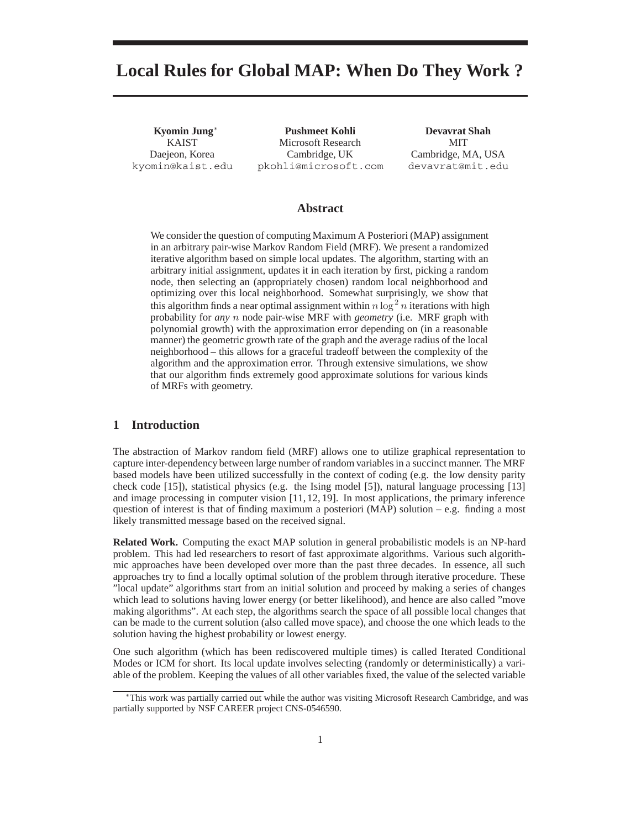# **Local Rules for Global MAP: When Do They Work ?**

**Kyomin Jung**∗ KAIST Daejeon, Korea kyomin@kaist.edu

**Pushmeet Kohli** Microsoft Research Cambridge, UK pkohli@microsoft.com

**Devavrat Shah** MIT Cambridge, MA, USA devavrat@mit.edu

## **Abstract**

We consider the question of computing Maximum A Posteriori (MAP) assignment in an arbitrary pair-wise Markov Random Field (MRF). We present a randomized iterative algorithm based on simple local updates. The algorithm, starting with an arbitrary initial assignment, updates it in each iteration by first, picking a random node, then selecting an (appropriately chosen) random local neighborhood and optimizing over this local neighborhood. Somewhat surprisingly, we show that this algorithm finds a near optimal assignment within  $n \log^2 n$  iterations with high probability for any n node pair-wise MRF with *ecometry* (i.e. MRF graph with probability for *any* n node pair-wise MRF with *geometry* (i.e. MRF graph with polynomial growth) with the approximation error depending on (in a reasonable manner) the geometric growth rate of the graph and the average radius of the local neighborhood – this allows for a graceful tradeoff between the complexity of the algorithm and the approximation error. Through extensive simulations, we show that our algorithm finds extremely good approximate solutions for various kinds of MRFs with geometry.

#### **1 Introduction**

The abstraction of Markov random field (MRF) allows one to utilize graphical representation to capture inter-dependency between large number of random variables in a succinct manner. The MRF based models have been utilized successfully in the context of coding (e.g. the low density parity check code [15]), statistical physics (e.g. the Ising model [5]), natural language processing [13] and image processing in computer vision [11, 12, 19]. In most applications, the primary inference question of interest is that of finding maximum a posteriori (MAP) solution – e.g. finding a most likely transmitted message based on the received signal.

**Related Work.** Computing the exact MAP solution in general probabilistic models is an NP-hard problem. This had led researchers to resort of fast approximate algorithms. Various such algorithmic approaches have been developed over more than the past three decades. In essence, all such approaches try to find a locally optimal solution of the problem through iterative procedure. These "local update" algorithms start from an initial solution and proceed by making a series of changes which lead to solutions having lower energy (or better likelihood), and hence are also called "move making algorithms". At each step, the algorithms search the space of all possible local changes that can be made to the current solution (also called move space), and choose the one which leads to the solution having the highest probability or lowest energy.

One such algorithm (which has been rediscovered multiple times) is called Iterated Conditional Modes or ICM for short. Its local update involves selecting (randomly or deterministically) a variable of the problem. Keeping the values of all other variables fixed, the value of the selected variable

<sup>∗</sup>This work was partially carried out while the author was visiting Microsoft Research Cambridge, and was partially supported by NSF CAREER project CNS-0546590.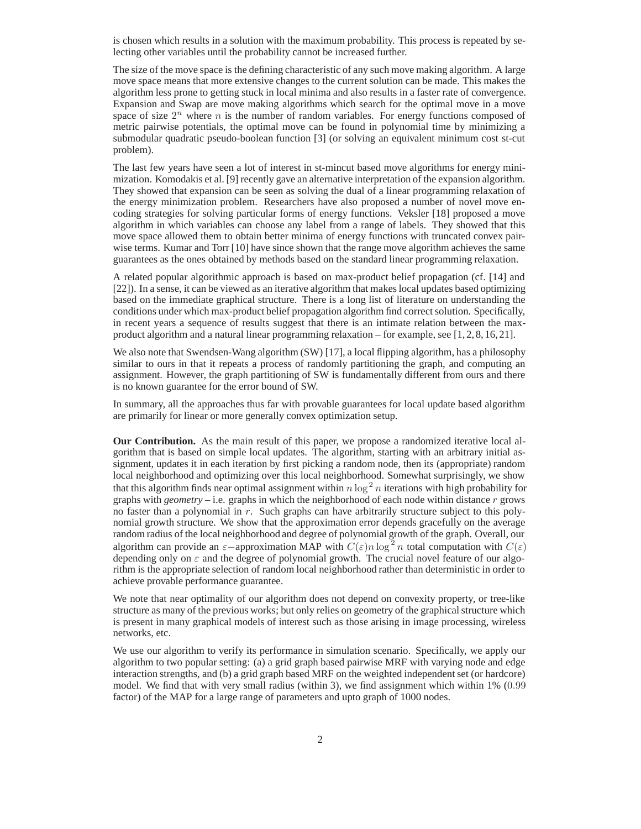is chosen which results in a solution with the maximum probability. This process is repeated by selecting other variables until the probability cannot be increased further.

The size of the move space is the defining characteristic of any such move making algorithm. A large move space means that more extensive changes to the current solution can be made. This makes the algorithm less prone to getting stuck in local minima and also results in a faster rate of convergence. Expansion and Swap are move making algorithms which search for the optimal move in a move space of size  $2^n$  where n is the number of random variables. For energy functions composed of metric pairwise potentials, the optimal move can be found in polynomial time by minimizing a submodular quadratic pseudo-boolean function [3] (or solving an equivalent minimum cost st-cut problem).

The last few years have seen a lot of interest in st-mincut based move algorithms for energy minimization. Komodakis et al. [9] recently gave an alternative interpretation of the expansion algorithm. They showed that expansion can be seen as solving the dual of a linear programming relaxation of the energy minimization problem. Researchers have also proposed a number of novel move encoding strategies for solving particular forms of energy functions. Veksler [18] proposed a move algorithm in which variables can choose any label from a range of labels. They showed that this move space allowed them to obtain better minima of energy functions with truncated convex pairwise terms. Kumar and Torr [10] have since shown that the range move algorithm achieves the same guarantees as the ones obtained by methods based on the standard linear programming relaxation.

A related popular algorithmic approach is based on max-product belief propagation (cf. [14] and [22]). In a sense, it can be viewed as an iterative algorithm that makes local updates based optimizing based on the immediate graphical structure. There is a long list of literature on understanding the conditions under which max-product belief propagation algorithm find correct solution. Specifically, in recent years a sequence of results suggest that there is an intimate relation between the maxproduct algorithm and a natural linear programming relaxation – for example, see [1, 2, 8, 16, 21].

We also note that Swendsen-Wang algorithm (SW) [17], a local flipping algorithm, has a philosophy similar to ours in that it repeats a process of randomly partitioning the graph, and computing an assignment. However, the graph partitioning of SW is fundamentally different from ours and there is no known guarantee for the error bound of SW.

In summary, all the approaches thus far with provable guarantees for local update based algorithm are primarily for linear or more generally convex optimization setup.

**Our Contribution.** As the main result of this paper, we propose a randomized iterative local algorithm that is based on simple local updates. The algorithm, starting with an arbitrary initial assignment, updates it in each iteration by first picking a random node, then its (appropriate) random local neighborhood and optimizing over this local neighborhood. Somewhat surprisingly, we show that this algorithm finds near optimal assignment within  $n \log^2 n$  iterations with high probability for graphs with *geometry* – i.e. graphs in which the neighborhood of each node within distance r grows graphs with *geometry* – i.e. graphs in which the neighborhood of each node within distance r grows no faster than a polynomial in r. Such graphs can have arbitrarily structure subject to this polynomial growth structure. We show that the approximation error depends gracefully on the average random radius of the local neighborhood and degree of polynomial growth of the graph. Overall, our algorithm can provide an  $\varepsilon$ -approximation MAP with  $C(\varepsilon)n \log^2 n$  total computation with  $C(\varepsilon)$ <br>depending only on  $\varepsilon$  and the degree of polynomial growth. The crucial novel feature of our algodepending only on  $\varepsilon$  and the degree of polynomial growth. The crucial novel feature of our algorithm is the appropriate selection of random local neighborhood rather than deterministic in order to achieve provable performance guarantee.

We note that near optimality of our algorithm does not depend on convexity property, or tree-like structure as many of the previous works; but only relies on geometry of the graphical structure which is present in many graphical models of interest such as those arising in image processing, wireless networks, etc.

We use our algorithm to verify its performance in simulation scenario. Specifically, we apply our algorithm to two popular setting: (a) a grid graph based pairwise MRF with varying node and edge interaction strengths, and (b) a grid graph based MRF on the weighted independent set (or hardcore) model. We find that with very small radius (within 3), we find assignment which within 1% (0.99 factor) of the MAP for a large range of parameters and upto graph of 1000 nodes.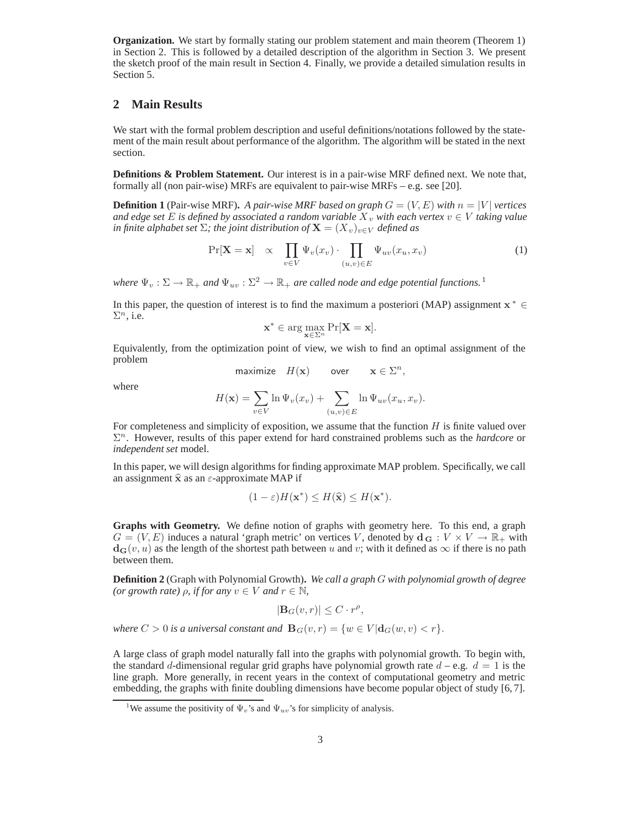**Organization.** We start by formally stating our problem statement and main theorem (Theorem 1) in Section 2. This is followed by a detailed description of the algorithm in Section 3. We present the sketch proof of the main result in Section 4. Finally, we provide a detailed simulation results in Section 5.

## **2 Main Results**

We start with the formal problem description and useful definitions/notations followed by the statement of the main result about performance of the algorithm. The algorithm will be stated in the next section.

**Definitions & Problem Statement.** Our interest is in a pair-wise MRF defined next. We note that, formally all (non pair-wise) MRFs are equivalent to pair-wise MRFs – e.g. see [20].

**Definition 1** (Pair-wise MRF). A pair-wise MRF based on graph  $G = (V, E)$  with  $n = |V|$  vertices *and edge set* E *is defined by associated a random variable*  $X_v$  *with each vertex*  $v \in V$  *taking value in finite alphabet set*  $\Sigma$ *; the joint distribution of*  $\mathbf{X} = (X_v)_{v \in V}$  *defined as* 

$$
\Pr[\mathbf{X} = \mathbf{x}] \propto \prod_{v \in V} \Psi_v(x_v) \cdot \prod_{(u,v) \in E} \Psi_{uv}(x_u, x_v) \tag{1}
$$

*where*  $\Psi_v : \Sigma \to \mathbb{R}_+$  *and*  $\Psi_{uv} : \Sigma^2 \to \mathbb{R}_+$  *are called node and edge potential functions.*<sup>1</sup>

In this paper, the question of interest is to find the maximum a posteriori (MAP) assignment  $x^* \in$  $\Sigma^n$ , i.e.

$$
\mathbf{x}^* \in \arg\max_{\mathbf{x} \in \Sigma^n} \Pr[\mathbf{X} = \mathbf{x}].
$$

Equivalently, from the optimization point of view, we wish to find an optimal assignment of the problem

$$
\text{maximize} \quad H(\mathbf{x}) \qquad \text{over} \qquad \mathbf{x} \in \Sigma^n,
$$

where

$$
H(\mathbf{x}) = \sum_{v \in V} \ln \Psi_v(x_v) + \sum_{(u,v) \in E} \ln \Psi_{uv}(x_u, x_v).
$$

For completeness and simplicity of exposition, we assume that the function  $H$  is finite valued over  $\Sigma<sup>n</sup>$ . However, results of this paper extend for hard constrained problems such as the *hardcore* or *independent set* model.

In this paper, we will design algorithms for finding approximate MAP problem. Specifically, we call an assignment  $\hat{x}$  as an  $\varepsilon$ -approximate MAP if

$$
(1 - \varepsilon)H(\mathbf{x}^*) \le H(\widehat{\mathbf{x}}) \le H(\mathbf{x}^*).
$$

**Graphs with Geometry.** We define notion of graphs with geometry here. To this end, a graph  $G = (V, E)$  induces a natural 'graph metric' on vertices V, denoted by  $\mathbf{d}_{\mathbf{G}} : V \times V \to \mathbb{R}_+$  with  $d_{\mathbf{G}}(v, u)$  as the length of the shortest path between u and v; with it defined as  $\infty$  if there is no path between them.

**Definition 2** (Graph with Polynomial Growth)**.** *We call a graph* G *with polynomial growth of degree (or growth rate)*  $\rho$ *, if for any*  $v \in V$  *and*  $r \in \mathbb{N}$ *,* 

$$
|\mathbf{B}_G(v,r)| \leq C \cdot r^{\rho},
$$

*where*  $C > 0$  *is a universal constant and*  $\mathbf{B}_G(v,r) = \{w \in V | \mathbf{d}_G(w,v) < r\}.$ 

A large class of graph model naturally fall into the graphs with polynomial growth. To begin with, the standard d-dimensional regular grid graphs have polynomial growth rate  $d - e.g. d = 1$  is the line graph. More generally, in recent years in the context of computational geometry and metric embedding, the graphs with finite doubling dimensions have become popular object of study [6, 7].

<sup>&</sup>lt;sup>1</sup>We assume the positivity of  $\Psi_v$ 's and  $\Psi_u_v$ 's for simplicity of analysis.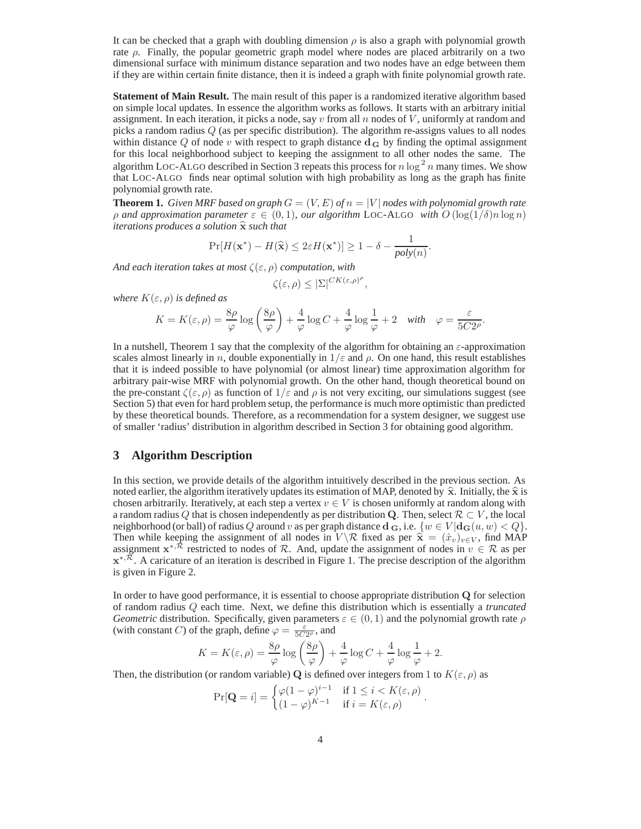It can be checked that a graph with doubling dimension  $\rho$  is also a graph with polynomial growth rate  $\rho$ . Finally, the popular geometric graph model where nodes are placed arbitrarily on a two dimensional surface with minimum distance separation and two nodes have an edge between them if they are within certain finite distance, then it is indeed a graph with finite polynomial growth rate.

**Statement of Main Result.** The main result of this paper is a randomized iterative algorithm based on simple local updates. In essence the algorithm works as follows. It starts with an arbitrary initial assignment. In each iteration, it picks a node, say  $v$  from all  $n$  nodes of  $V$ , uniformly at random and picks a random radius Q (as per specific distribution). The algorithm re-assigns values to all nodes within distance  $Q$  of node v with respect to graph distance  $d<sub>G</sub>$  by finding the optimal assignment for this local neighborhood subject to keeping the assignment to all other nodes the same. The algorithm LOC-ALGO described in Section 3 repeats this process for  $n \log^2 n$  many times. We show that LOC-ALGO finds near optimal solution with high probability as long as the graph has finite that LOC-ALGO finds near optimal solution with high probability as long as the graph has finite polynomial growth rate.

**Theorem 1.** *Given MRF based on graph*  $G = (V, E)$  *of*  $n = |V|$  *nodes with polynomial growth rate*  $ρ$  *and approximation parameter*  $ε ∈ (0, 1)$ *, our algorithm* LOC-ALGO *with*  $O(log(1/δ)n log n)$ *iterations produces a solution* **<sup>x</sup>** *such that*

$$
\Pr[H(\mathbf{x}^*) - H(\widehat{\mathbf{x}}) \le 2\varepsilon H(\mathbf{x}^*)] \ge 1 - \delta - \frac{1}{poly(n)}.
$$

*And each iteration takes at most* <sup>ζ</sup>(ε, ρ) *computation, with*

$$
\zeta(\varepsilon,\rho) \leq |\Sigma|^{CK(\varepsilon,\rho)^\rho},
$$

*where*  $K(\varepsilon, \rho)$  *is defined as* 

$$
K = K(\varepsilon, \rho) = \frac{8\rho}{\varphi} \log \left( \frac{8\rho}{\varphi} \right) + \frac{4}{\varphi} \log C + \frac{4}{\varphi} \log \frac{1}{\varphi} + 2 \quad \text{with} \quad \varphi = \frac{\varepsilon}{5C2\rho}.
$$

In a nutshell, Theorem 1 say that the complexity of the algorithm for obtaining an  $\varepsilon$ -approximation scales almost linearly in n, double exponentially in  $1/\varepsilon$  and  $\rho$ . On one hand, this result establishes that it is indeed possible to have polynomial (or almost linear) time approximation algorithm for arbitrary pair-wise MRF with polynomial growth. On the other hand, though theoretical bound on the pre-constant  $\zeta(\varepsilon, \rho)$  as function of  $1/\varepsilon$  and  $\rho$  is not very exciting, our simulations suggest (see Section 5) that even for hard problem setup, the performance is much more optimistic than predicted by these theoretical bounds. Therefore, as a recommendation for a system designer, we suggest use of smaller 'radius' distribution in algorithm described in Section 3 for obtaining good algorithm.

#### **3 Algorithm Description**

In this section, we provide details of the algorithm intuitively described in the previous section. As noted earlier, the algorithm iteratively updates its estimation of MAP, denoted by  $\hat{\mathbf{x}}$ . Initially, the  $\hat{\mathbf{x}}$  is chosen arbitrarily. Iteratively, at each step a vertex  $v \in V$  is chosen uniformly at random along with a random radius Q that is chosen independently as per distribution Q. Then, select  $\mathcal{R} \subset V$ , the local neighborhood (or ball) of radius Q around v as per graph distance  $\mathbf{d}_{\mathbf{G}}$ , i.e.  $\{w \in V | \mathbf{d}_{\mathbf{G}}(u, w) < Q\}$ . Then while keeping the assignment of all nodes in  $V \backslash \mathcal{R}$  fixed as per  $\hat{\mathbf{x}} = (\hat{x}_v)_{v \in V}$ , find MAP assignment  $\mathbf{x}^{*,\mathcal{R}}$  restricted to nodes of R. And, update the assignment of nodes in  $v \in \mathcal{R}$  as per **x**<sup>∗, $\overline{\mathcal{R}}$ . A caricature of an iteration is described in Figure 1. The precise description of the algorithm</sup> is given in Figure 2.

In order to have good performance, it is essential to choose appropriate distribution **Q** for selection of random radius Q each time. Next, we define this distribution which is essentially a *truncated Geometric* distribution. Specifically, given parameters  $\varepsilon \in (0,1)$  and the polynomial growth rate  $\rho$ (with constant C) of the graph, define  $\varphi = \frac{\varepsilon}{5C2\rho}$ , and

$$
K = K(\varepsilon, \rho) = \frac{8\rho}{\varphi} \log \left( \frac{8\rho}{\varphi} \right) + \frac{4}{\varphi} \log C + \frac{4}{\varphi} \log \frac{1}{\varphi} + 2.
$$

Then, the distribution (or random variable) **Q** is defined over integers from 1 to  $K(\varepsilon, \rho)$  as

$$
\Pr[\mathbf{Q} = i] = \begin{cases} \varphi(1-\varphi)^{i-1} & \text{if } 1 \le i < K(\varepsilon, \rho) \\ (1-\varphi)^{K-1} & \text{if } i = K(\varepsilon, \rho) \end{cases}.
$$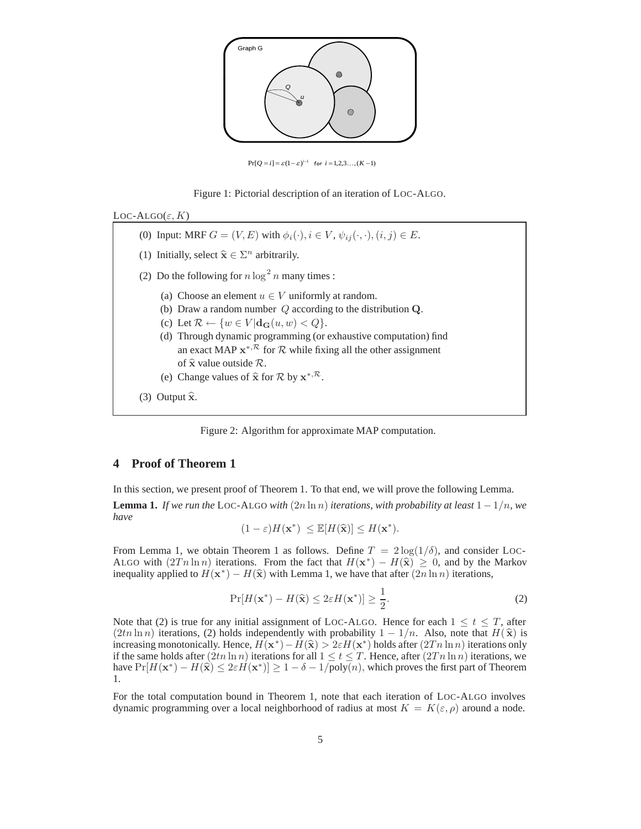

 $\Pr[Q = i] = \varepsilon(1-\varepsilon)^{i-1}$  for  $i = 1, 2, 3, ..., (K-1)$ 





(0) Input: MRF  $G = (V, E)$  with  $\phi_i(\cdot), i \in V$ ,  $\psi_{ij}(\cdot, \cdot), (i, j) \in E$ . (1) Initially, select  $\hat{\mathbf{x}} \in \Sigma^n$  arbitrarily. (2) Do the following for  $n \log^2 n$  many times : (a) Choose an element  $u \in V$  uniformly at random. (b) Draw a random number Q according to the distribution **Q**. (c) Let  $\mathcal{R} \leftarrow \{w \in V | \mathbf{d}_{\mathbf{G}}(u, w) < Q\}.$ (d) Through dynamic programming (or exhaustive computation) find an exact MAP  $\mathbf{x}^{*,\mathcal{R}}$  for  $\mathcal{R}$  while fixing all the other assignment of **<sup>x</sup>** value outside <sup>R</sup>. (e) Change values of  $\hat{\mathbf{x}}$  for  $\mathcal{R}$  by  $\mathbf{x}^{*,\mathcal{R}}$ .  $(3)$  Output  $\hat{\mathbf{x}}$ .

Figure 2: Algorithm for approximate MAP computation.

## **4 Proof of Theorem 1**

In this section, we present proof of Theorem 1. To that end, we will prove the following Lemma.

**Lemma 1.** *If we run the* LOC-ALGO *with*  $(2n \ln n)$  *iterations, with probability at least*  $1 - 1/n$ *, we have*

$$
(1 - \varepsilon)H(\mathbf{x}^*) \leq \mathbb{E}[H(\hat{\mathbf{x}})] \leq H(\mathbf{x}^*).
$$

From Lemma 1, we obtain Theorem 1 as follows. Define  $T = 2 \log(1/\delta)$ , and consider LOC-ALGO with  $(2Tn \ln n)$  iterations. From the fact that  $H(\mathbf{x}^*) - H(\hat{\mathbf{x}}) \geq 0$ , and by the Markov inequality applied to  $H(\mathbf{x}^*) - H(\hat{\mathbf{x}})$  with Lemma 1, we have that after  $(2n \ln n)$  iterations,

$$
\Pr[H(\mathbf{x}^*) - H(\widehat{\mathbf{x}}) \le 2\varepsilon H(\mathbf{x}^*)] \ge \frac{1}{2}.\tag{2}
$$

Note that (2) is true for any initial assignment of LOC-ALGO. Hence for each  $1 \le t \le T$ , after  $(2tn \ln n)$  iterations (2) holds independently with probability  $1 - 1/n$ . Also, note that  $H(\hat{\mathbf{x}})$  is  $(2tn \ln n)$  iterations, (2) holds independently with probability  $1 - 1/n$ . Also, note that  $H(\hat{\mathbf{x}})$  is increasing monotonically. Hence,  $H(\mathbf{x}^*) - H(\hat{\mathbf{x}}) > 2\varepsilon H(\mathbf{x}^*)$  holds after  $(2Tn \ln n)$  iterations only if the same holds after  $(2tn \ln n)$  iterations for all  $1 \le t \le T$ . Hence, after  $(2Tn \ln n)$  iterations, we have  $Pr[H(\mathbf{x}^*) - H(\hat{\mathbf{x}})] \leq 2\varepsilon H(\mathbf{x}^*)$   $\geq 1 - \delta - 1/\text{poly}(n)$ , which proves the first part of Theorem 1.

For the total computation bound in Theorem 1, note that each iteration of LOC-ALGO involves dynamic programming over a local neighborhood of radius at most  $K = K(\varepsilon, \rho)$  around a node.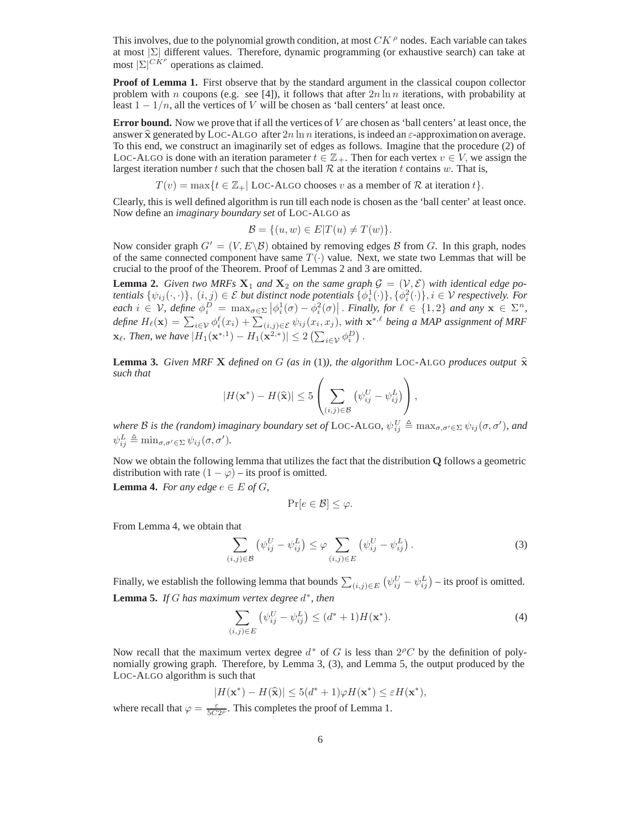This involves, due to the polynomial growth condition, at most  $CK^{\rho}$  nodes. Each variable can takes at most <sup>|</sup>Σ<sup>|</sup> different values. Therefore, dynamic programming (or exhaustive search) can take at most  $|\Sigma|^{CK^{\rho}}$  operations as claimed.

**Proof of Lemma 1.** First observe that by the standard argument in the classical coupon collector problem with n coupons (e.g. see [4]), it follows that after  $2n \ln n$  iterations, with probability at least  $1 - 1/n$ , all the vertices of V will be chosen as 'ball centers' at least once.

**Error bound.** Now we prove that if all the vertices of V are chosen as 'ball centers' at least once, the answer  $\hat{\mathbf{x}}$  generated by LOC-ALGO after  $2n \ln n$  iterations, is indeed an  $\varepsilon$ -approximation on average. To this end, we construct an imaginarily set of edges as follows. Imagine that the procedure (2) of LOC-ALGO is done with an iteration parameter  $t \in \mathbb{Z}_+$ . Then for each vertex  $v \in V$ , we assign the largest iteration number t such that the chosen ball  $R$  at the iteration t contains w. That is,

 $T(v) = \max\{t \in \mathbb{Z}_+ |$  LOC-ALGO chooses v as a member of R at iteration t $\}$ .

Clearly, this is well defined algorithm is run till each node is chosen as the 'ball center' at least once. Now define an *imaginary boundary set* of LOC-ALGO as

$$
\mathcal{B} = \{(u, w) \in E | T(u) \neq T(w) \}.
$$

Now consider graph  $G' = (V, E \setminus B)$  obtained by removing edges B from G. In this graph, nodes of the same connected component have same  $T(.)$  value. Next, we state two I emmas that will be of the same connected component have same  $T(\cdot)$  value. Next, we state two Lemmas that will be crucial to the proof of the Theorem. Proof of Lemmas 2 and 3 are omitted.

**Lemma 2.** *Given two MRFs*  $\mathbf{X}_1$  *and*  $\mathbf{X}_2$  *on the same graph*  $\mathcal{G} = (\mathcal{V}, \mathcal{E})$  *with identical edge potentials*  $\{y_{i\cdot\ell}(\cdot, \cdot)\}_{i\in\mathcal{E}}$  *(i j)*  $\in\mathcal{E}$  *but distinct node notentials*  $\{y_i^1(\cdot)\}_{i\$ *tentials*  $\{\psi_{ij}(\cdot,\cdot)\},\ (i,j) \in \mathcal{E}$  *but distinct node potentials*  $\{\phi_i^1(\cdot)\},\{\phi_i^2(\cdot)\}, i \in \mathcal{V}$  *respectively. For each*  $i \in \mathcal{V}$  *define*  $\phi_i^D = \max_{i,j} |\phi_i^1(\sigma) - \phi_i^2(\sigma)|$  *Finally for*  $\ell \in \{1, 2\}$  and any  $\$  $\chi^e$  *each*  $i \in V$ , define  $\phi_i^D = \max_{\sigma \in \Sigma} |\phi_i^1(\sigma) - \phi_i^2(\sigma)|$ . *Finally, for*  $\ell \in \{1, 2\}$  *and any*  $\mathbf{x} \in \Sigma^n$ , define  $H_1(\mathbf{x}) = \sum_{\sigma \in \mathcal{S}} \phi_i^{\ell}(\sigma) + \sum_{\sigma \in \mathcal{S}} \phi_i^{\ell}(\sigma, \sigma)$ , with  $\mathbf{x}^* \circ \ell$  being a *MAP define*  $H_{\ell}(\mathbf{x}) = \sum_{i \in \mathcal{V}} \phi_i^{\ell}(x_i) + \sum_{(i,j) \in \mathcal{E}} \psi_{ij}(x_i, x_j)$ , *with*  $\mathbf{x}^{*,\ell}$  *being a MAP assignment of MRF* **x**<sub>*l*</sub>. Then, we have  $|H_1(\mathbf{x}^{*,1}) - H_1(\mathbf{x}^{2,*})| \leq 2\left(\sum_{i \in \mathcal{V}} \phi_i^D\right)$ .

**Lemma 3.** *Given MRF X defined on G (as in (1)), the algorithm* LOC-ALGO *produces output*  $\hat{\mathbf{x}}$ *such that*

$$
|H(\mathbf{x}^*) - H(\widehat{\mathbf{x}})| \leq 5 \left( \sum_{(i,j) \in \mathcal{B}} \left( \psi_{ij}^U - \psi_{ij}^L \right) \right),
$$

*where B is the (random) imaginary boundary set of* LOC-ALGO,  $\psi_{ij}^U \triangleq \max_{\sigma, \sigma' \in \Sigma} \psi_{ij}(\sigma, \sigma')$ , and  $\psi_{ij}^U \triangleq \psi_{ij}^U(\sigma, \sigma')$  $\psi_{ij}^L \triangleq \min_{\sigma, \sigma' \in \Sigma} \psi_{ij}(\sigma, \sigma').$ 

Now we obtain the following lemma that utilizes the fact that the distribution **Q** follows a geometric distribution with rate  $(1 - \varphi)$  – its proof is omitted.

**Lemma 4.** *For any edge*  $e \in E$  *of*  $G$ *,* 

$$
\Pr[e \in \mathcal{B}] \leq \varphi.
$$

From Lemma 4, we obtain that

$$
\sum_{(i,j)\in\mathcal{B}} \left(\psi_{ij}^U - \psi_{ij}^L\right) \leq \varphi \sum_{(i,j)\in E} \left(\psi_{ij}^U - \psi_{ij}^L\right). \tag{3}
$$

Finally, we establish the following lemma that bounds  $\sum_{(i,j)\in E} (\psi_{ij}^U - \psi_{ij}^L)$  – its proof is omitted. **Lemma 5.** *If* G *has maximum vertex degree* d∗*, then*

$$
\sum_{(i,j)\in E} \left(\psi_{ij}^U - \psi_{ij}^L\right) \le (d^* + 1)H(\mathbf{x}^*).
$$
\n(4)

Now recall that the maximum vertex degree  $d^*$  of G is less than  $2^{\rho}C$  by the definition of polynomially growing graph. Therefore, by Lemma 3, (3), and Lemma 5, the output produced by the LOC-ALGO algorithm is such that

$$
|H(\mathbf{x}^*) - H(\widehat{\mathbf{x}})| \le 5(d^* + 1)\varphi H(\mathbf{x}^*) \le \varepsilon H(\mathbf{x}^*),
$$

where recall that  $\varphi = \frac{\varepsilon}{5C2\rho}$ . This completes the proof of Lemma 1.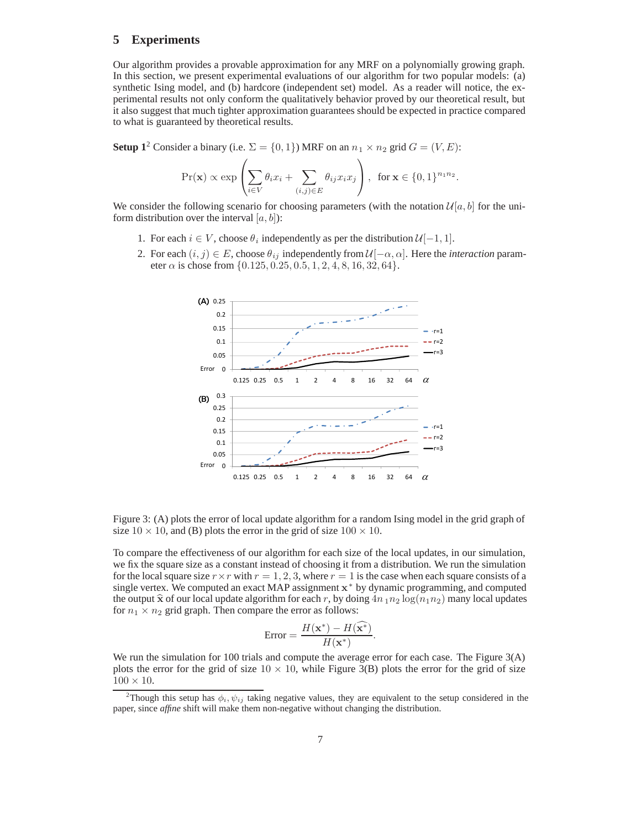# **5 Experiments**

Our algorithm provides a provable approximation for any MRF on a polynomially growing graph. In this section, we present experimental evaluations of our algorithm for two popular models: (a) synthetic Ising model, and (b) hardcore (independent set) model. As a reader will notice, the experimental results not only conform the qualitatively behavior proved by our theoretical result, but it also suggest that much tighter approximation guarantees should be expected in practice compared to what is guaranteed by theoretical results.

**Setup 1**<sup>2</sup> Consider a binary (i.e.  $\Sigma = \{0, 1\}$ ) MRF on an  $n_1 \times n_2$  grid  $G = (V, E)$ :

$$
\Pr(\mathbf{x}) \propto \exp\left(\sum_{i \in V} \theta_i x_i + \sum_{(i,j) \in E} \theta_{ij} x_i x_j\right), \text{ for } \mathbf{x} \in \{0,1\}^{n_1 n_2}.
$$

We consider the following scenario for choosing parameters (with the notation  $\mathcal{U}[a, b]$  for the uniform distribution over the interval  $[a, b]$ :

- 1. For each  $i \in V$ , choose  $\theta_i$  independently as per the distribution  $\mathcal{U}[-1, 1]$ .
- 2. For each  $(i, j) \in E$ , choose  $\theta_{ij}$  independently from  $\mathcal{U}[-\alpha, \alpha]$ . Here the *interaction* parameter  $\alpha$  is chose from  $\{0.125, 0.25, 0.5, 1, 2, 4, 8, 16, 32, 64\}.$



Figure 3: (A) plots the error of local update algorithm for a random Ising model in the grid graph of size  $10 \times 10$ , and (B) plots the error in the grid of size  $100 \times 10$ .

To compare the effectiveness of our algorithm for each size of the local updates, in our simulation, we fix the square size as a constant instead of choosing it from a distribution. We run the simulation for the local square size  $r \times r$  with  $r = 1, 2, 3$ , where  $r = 1$  is the case when each square consists of a single vertex. We computed an exact MAP assignment **x**<sup>∗</sup> by dynamic programming, and computed the output  $\hat{\mathbf{x}}$  of our local update algorithm for each r, by doing  $4n_1n_2\log(n_1n_2)$  many local updates for  $n_1 \times n_2$  grid graph. Then compare the error as follows:

$$
\text{Error} = \frac{H(\mathbf{x}^*) - H(\widehat{\mathbf{x}^*})}{H(\mathbf{x}^*)}
$$

 $\text{Error} = \frac{H(\mathbf{x}) - H(\mathbf{x}^*)}{H(\mathbf{x}^*)}$ .<br>We run the simulation for 100 trials and compute the average error for each case. The Figure 3(A) plots the error for the grid of size  $10 \times 10$ , while Figure 3(B) plots the error for the grid of size  $100 \times 10$ .

<sup>&</sup>lt;sup>2</sup>Though this setup has  $\phi_i, \psi_{ij}$  taking negative values, they are equivalent to the setup considered in the paper, since *affine* shift will make them non-negative without changing the distribution.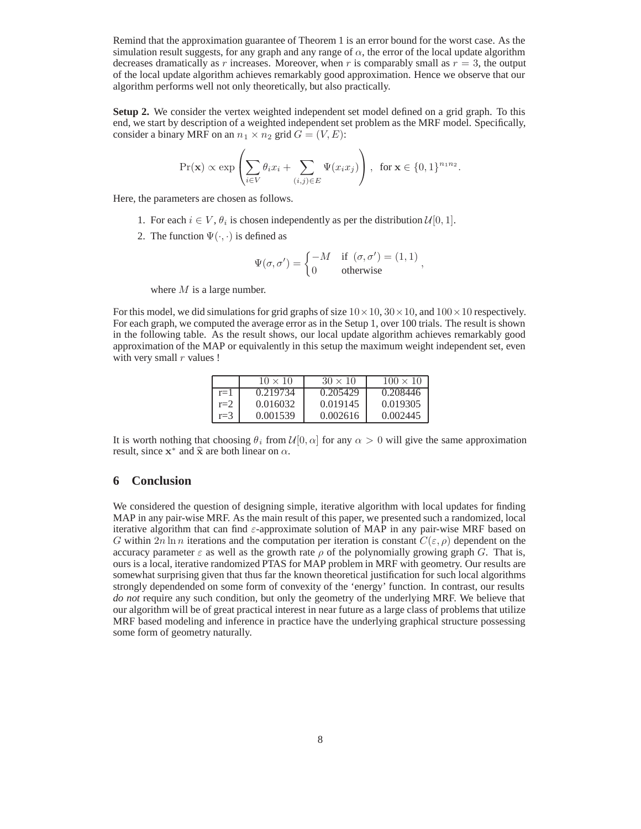Remind that the approximation guarantee of Theorem 1 is an error bound for the worst case. As the simulation result suggests, for any graph and any range of  $\alpha$ , the error of the local update algorithm decreases dramatically as r increases. Moreover, when r is comparably small as  $r = 3$ , the output of the local update algorithm achieves remarkably good approximation. Hence we observe that our algorithm performs well not only theoretically, but also practically.

**Setup 2.** We consider the vertex weighted independent set model defined on a grid graph. To this end, we start by description of a weighted independent set problem as the MRF model. Specifically, consider a binary MRF on an  $n_1 \times n_2$  grid  $G = (V, E)$ :

$$
\Pr(\mathbf{x}) \propto \exp\left(\sum_{i \in V} \theta_i x_i + \sum_{(i,j) \in E} \Psi(x_i x_j)\right), \text{ for } \mathbf{x} \in \{0,1\}^{n_1 n_2}.
$$

Here, the parameters are chosen as follows.

- 1. For each  $i \in V$ ,  $\theta_i$  is chosen independently as per the distribution  $\mathcal{U}[0, 1]$ .
- 2. The function  $\Psi(\cdot, \cdot)$  is defined as

$$
\Psi(\sigma, \sigma') = \begin{cases}\n-M & \text{if } (\sigma, \sigma') = (1, 1) \\
0 & \text{otherwise}\n\end{cases}
$$

where  $M$  is a large number.

For this model, we did simulations for grid graphs of size  $10 \times 10$ ,  $30 \times 10$ , and  $100 \times 10$  respectively. For each graph, we computed the average error as in the Setup 1, over 100 trials. The result is shown in the following table. As the result shows, our local update algorithm achieves remarkably good approximation of the MAP or equivalently in this setup the maximum weight independent set, even with very small  $r$  values !

|         | $10 \times 10$ | $30 \times 10$ | $100 \times 10^{-5}$ |
|---------|----------------|----------------|----------------------|
| $r=1$   | 0.219734       | 0.205429       | 0.208446             |
| $r=2$   | 0.016032       | 0.019145       | 0.019305             |
| $r = 3$ | 0.001539       | 0.002616       | 0.002445             |

It is worth nothing that choosing  $\theta_i$  from  $\mathcal{U}[0, \alpha]$  for any  $\alpha > 0$  will give the same approximation result, since  $x^*$  and  $\hat{x}$  are both linear on  $\alpha$ .

#### **6 Conclusion**

We considered the question of designing simple, iterative algorithm with local updates for finding MAP in any pair-wise MRF. As the main result of this paper, we presented such a randomized, local iterative algorithm that can find  $\varepsilon$ -approximate solution of MAP in any pair-wise MRF based on G within  $2n \ln n$  iterations and the computation per iteration is constant  $C(\varepsilon, \rho)$  dependent on the accuracy parameter  $\varepsilon$  as well as the growth rate  $\rho$  of the polynomially growing graph G. That is, ours is a local, iterative randomized PTAS for MAP problem in MRF with geometry. Our results are somewhat surprising given that thus far the known theoretical justification for such local algorithms strongly dependended on some form of convexity of the 'energy' function. In contrast, our results *do not* require any such condition, but only the geometry of the underlying MRF. We believe that our algorithm will be of great practical interest in near future as a large class of problems that utilize MRF based modeling and inference in practice have the underlying graphical structure possessing some form of geometry naturally.